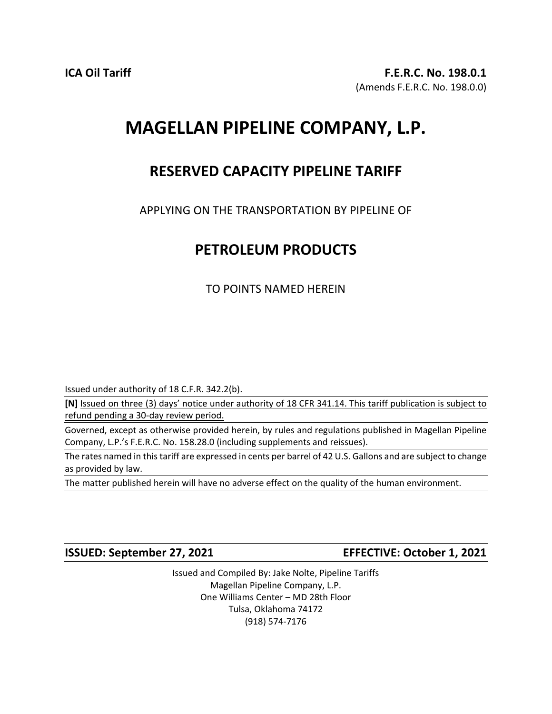## **MAGELLAN PIPELINE COMPANY, L.P.**

## **RESERVED CAPACITY PIPELINE TARIFF**

APPLYING ON THE TRANSPORTATION BY PIPELINE OF

## **PETROLEUM PRODUCTS**

TO POINTS NAMED HEREIN

Issued under authority of 18 C.F.R. 342.2(b).

**[N]** Issued on three (3) days' notice under authority of 18 CFR 341.14. This tariff publication is subject to refund pending a 30-day review period.

Governed, except as otherwise provided herein, by rules and regulations published in Magellan Pipeline Company, L.P.'s F.E.R.C. No. 158.28.0 (including supplements and reissues).

The rates named in this tariff are expressed in cents per barrel of 42 U.S. Gallons and are subject to change as provided by law.

The matter published herein will have no adverse effect on the quality of the human environment.

**ISSUED: September 27, 2021 EFFECTIVE: October 1, 2021**

Issued and Compiled By: Jake Nolte, Pipeline Tariffs Magellan Pipeline Company, L.P. One Williams Center – MD 28th Floor Tulsa, Oklahoma 74172 (918) 574-7176